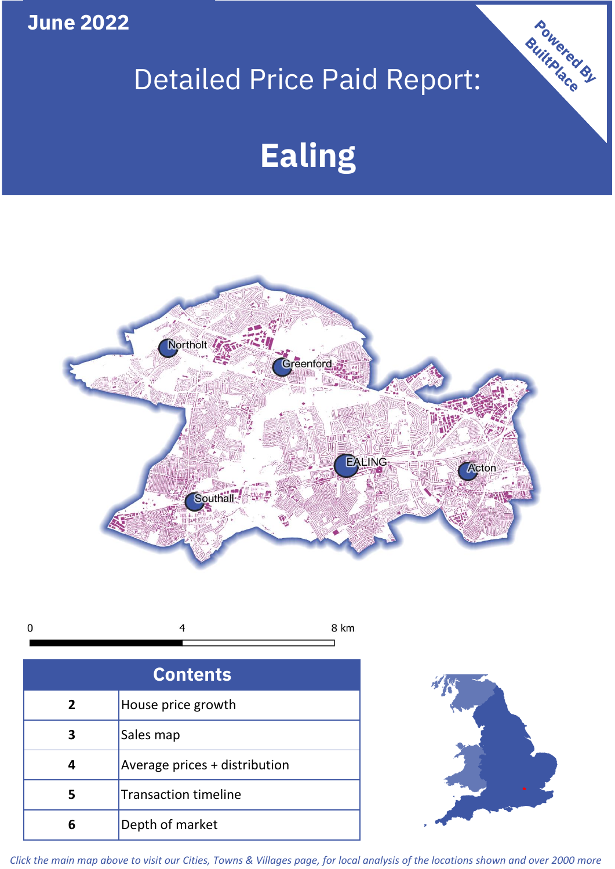**June 2022**

## Detailed Price Paid Report:

# **Ealing**



| <b>Contents</b> |                               |  |  |
|-----------------|-------------------------------|--|--|
| $\overline{2}$  | House price growth            |  |  |
| 3               | Sales map                     |  |  |
|                 | Average prices + distribution |  |  |
|                 | <b>Transaction timeline</b>   |  |  |
|                 | Depth of market               |  |  |



Powered By

*Click the main map above to visit our Cities, Towns & Villages page, for local analysis of the locations shown and over 2000 more*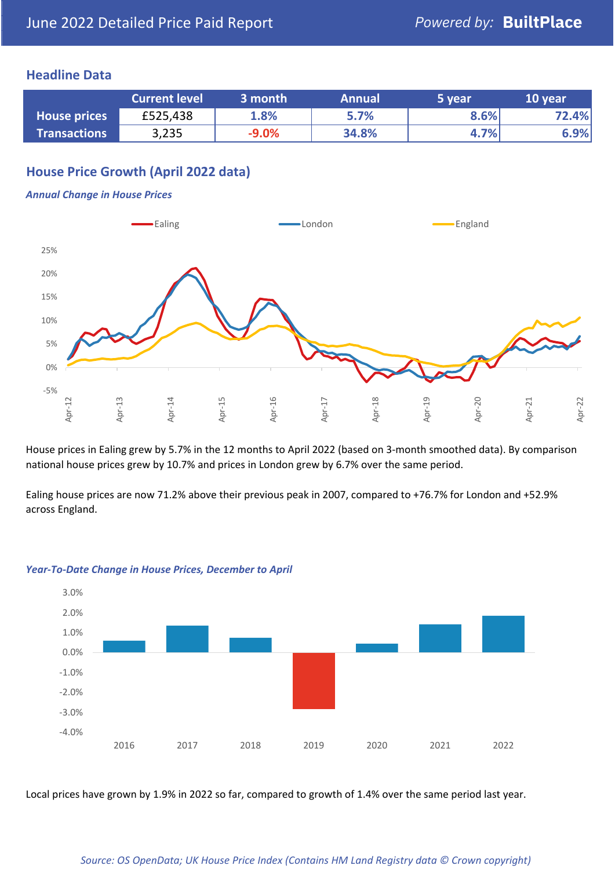## **Headline Data**

|                     | <b>Current level</b> | 3 month | <b>Annual</b> | 5 year  | 10 year |
|---------------------|----------------------|---------|---------------|---------|---------|
| <b>House prices</b> | £525,438             | 1.8%    | 5.7%          | $8.6\%$ | 72.4%   |
| <b>Transactions</b> | 3,235                | $-9.0%$ | 34.8%         | 4.7%    | 6.9%    |

## **House Price Growth (April 2022 data)**

#### *Annual Change in House Prices*



House prices in Ealing grew by 5.7% in the 12 months to April 2022 (based on 3-month smoothed data). By comparison national house prices grew by 10.7% and prices in London grew by 6.7% over the same period.

Ealing house prices are now 71.2% above their previous peak in 2007, compared to +76.7% for London and +52.9% across England.



#### *Year-To-Date Change in House Prices, December to April*

Local prices have grown by 1.9% in 2022 so far, compared to growth of 1.4% over the same period last year.

#### *Source: OS OpenData; UK House Price Index (Contains HM Land Registry data © Crown copyright)*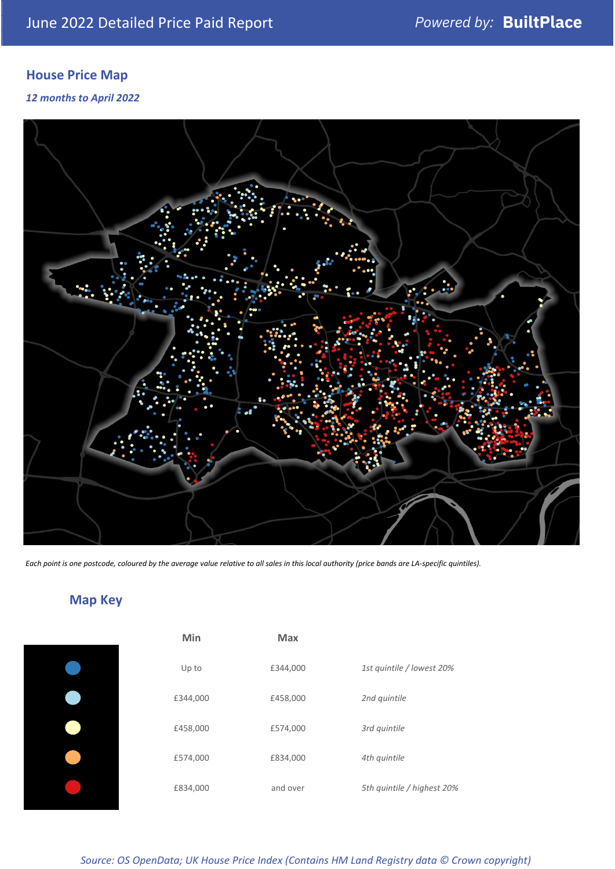## **House Price Map**

### *12 months to April 2022*



*Each point is one postcode, coloured by the average value relative to all sales in this local authority (price bands are LA-specific quintiles).*

## **Map Key**

| Min      | <b>Max</b> |                            |
|----------|------------|----------------------------|
| Up to    | £344,000   | 1st quintile / lowest 20%  |
| £344,000 | £458,000   | 2nd quintile               |
| £458,000 | £574,000   | 3rd quintile               |
| £574,000 | £834,000   | 4th quintile               |
| £834,000 | and over   | 5th quintile / highest 20% |
|          |            |                            |

#### *Source: OS OpenData; UK House Price Index (Contains HM Land Registry data © Crown copyright)*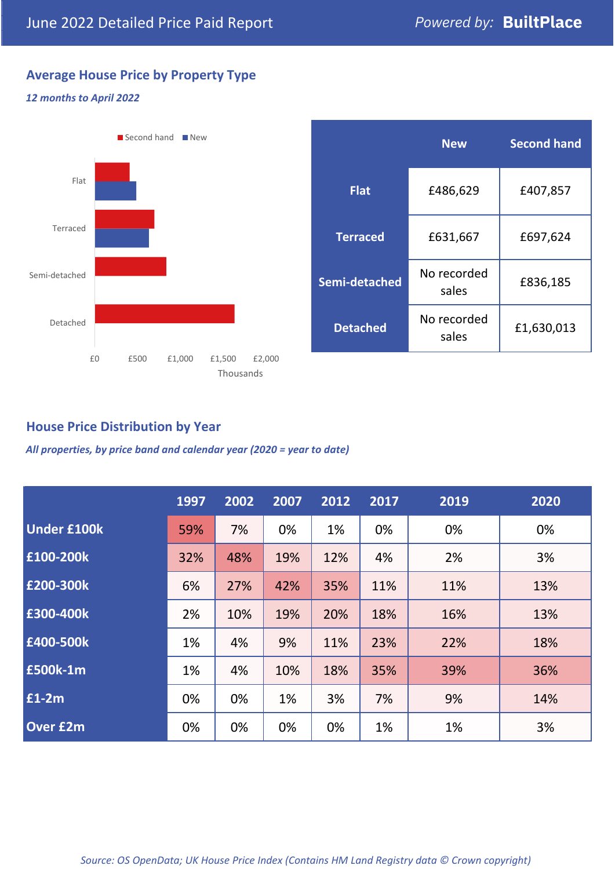## **Average House Price by Property Type**

### *12 months to April 2022*



|                 | <b>New</b>           | <b>Second hand</b> |  |  |
|-----------------|----------------------|--------------------|--|--|
| <b>Flat</b>     | £486,629             | £407,857           |  |  |
| <b>Terraced</b> | £631,667             | £697,624           |  |  |
| Semi-detached   | No recorded<br>sales | £836,185           |  |  |
| <b>Detached</b> | No recorded<br>sales | £1,630,013         |  |  |

## **House Price Distribution by Year**

*All properties, by price band and calendar year (2020 = year to date)*

|                    | 1997 | 2002 | 2007 | 2012 | 2017 | 2019 | 2020 |
|--------------------|------|------|------|------|------|------|------|
| <b>Under £100k</b> | 59%  | 7%   | 0%   | 1%   | 0%   | 0%   | 0%   |
| £100-200k          | 32%  | 48%  | 19%  | 12%  | 4%   | 2%   | 3%   |
| E200-300k          | 6%   | 27%  | 42%  | 35%  | 11%  | 11%  | 13%  |
| £300-400k          | 2%   | 10%  | 19%  | 20%  | 18%  | 16%  | 13%  |
| £400-500k          | 1%   | 4%   | 9%   | 11%  | 23%  | 22%  | 18%  |
| £500k-1m           | 1%   | 4%   | 10%  | 18%  | 35%  | 39%  | 36%  |
| £1-2m              | 0%   | 0%   | 1%   | 3%   | 7%   | 9%   | 14%  |
| <b>Over £2m</b>    | 0%   | 0%   | 0%   | 0%   | 1%   | 1%   | 3%   |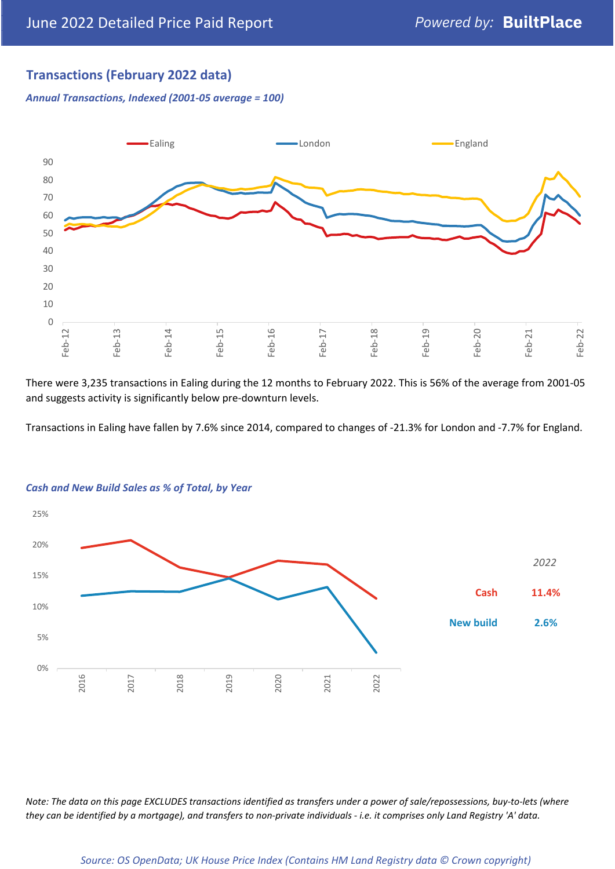## **Transactions (February 2022 data)**

*Annual Transactions, Indexed (2001-05 average = 100)*



There were 3,235 transactions in Ealing during the 12 months to February 2022. This is 56% of the average from 2001-05 and suggests activity is significantly below pre-downturn levels.

Transactions in Ealing have fallen by 7.6% since 2014, compared to changes of -21.3% for London and -7.7% for England.



#### *Cash and New Build Sales as % of Total, by Year*

*Note: The data on this page EXCLUDES transactions identified as transfers under a power of sale/repossessions, buy-to-lets (where they can be identified by a mortgage), and transfers to non-private individuals - i.e. it comprises only Land Registry 'A' data.*